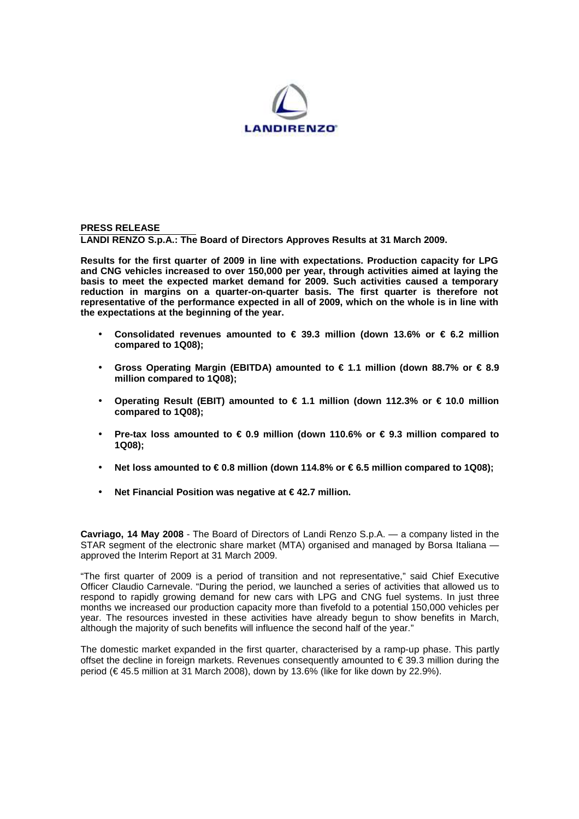

**PRESS RELEASE LANDI RENZO S.p.A.: The Board of Directors Approves Results at 31 March 2009.** 

**Results for the first quarter of 2009 in line with expectations. Production capacity for LPG and CNG vehicles increased to over 150,000 per year, through activities aimed at laying the basis to meet the expected market demand for 2009. Such activities caused a temporary reduction in margins on a quarter-on-quarter basis. The first quarter is therefore not representative of the performance expected in all of 2009, which on the whole is in line with the expectations at the beginning of the year.**

- **Consolidated revenues amounted to € 39.3 million (down 13.6% or € 6.2 million compared to 1Q08);**
- **Gross Operating Margin (EBITDA) amounted to € 1.1 million (down 88.7% or € 8.9 million compared to 1Q08);**
- **Operating Result (EBIT) amounted to € 1.1 million (down 112.3% or € 10.0 million compared to 1Q08);**
- **Pre-tax loss amounted to € 0.9 million (down 110.6% or € 9.3 million compared to 1Q08);**
- **Net loss amounted to € 0.8 million (down 114.8% or € 6.5 million compared to 1Q08);**
- **Net Financial Position was negative at € 42.7 million.**

**Cavriago, 14 May 2008** - The Board of Directors of Landi Renzo S.p.A. — a company listed in the STAR segment of the electronic share market (MTA) organised and managed by Borsa Italiana approved the Interim Report at 31 March 2009.

"The first quarter of 2009 is a period of transition and not representative," said Chief Executive Officer Claudio Carnevale. "During the period, we launched a series of activities that allowed us to respond to rapidly growing demand for new cars with LPG and CNG fuel systems. In just three months we increased our production capacity more than fivefold to a potential 150,000 vehicles per year. The resources invested in these activities have already begun to show benefits in March, although the majority of such benefits will influence the second half of the year."

The domestic market expanded in the first quarter, characterised by a ramp-up phase. This partly offset the decline in foreign markets. Revenues consequently amounted to € 39.3 million during the period (€ 45.5 million at 31 March 2008), down by 13.6% (like for like down by 22.9%).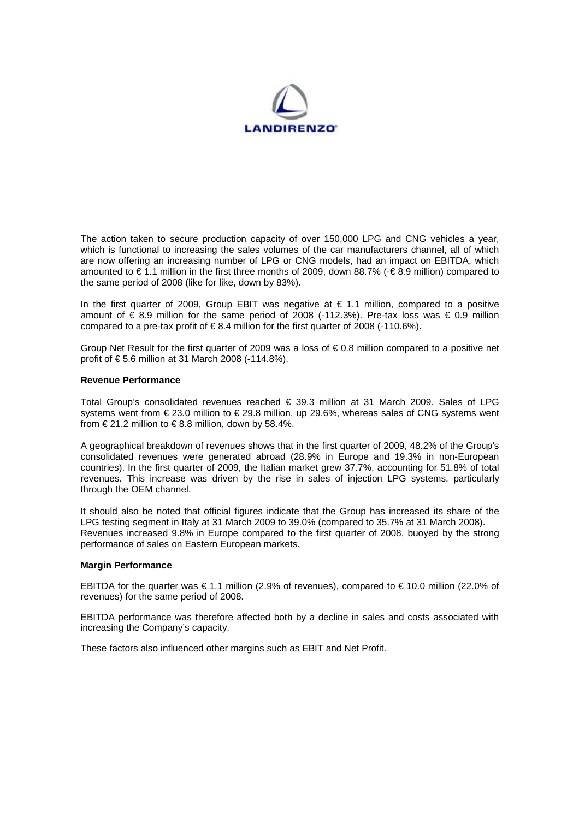

The action taken to secure production capacity of over 150,000 LPG and CNG vehicles a year, which is functional to increasing the sales volumes of the car manufacturers channel, all of which are now offering an increasing number of LPG or CNG models, had an impact on EBITDA, which amounted to € 1.1 million in the first three months of 2009, down 88.7% (-€ 8.9 million) compared to the same period of 2008 (like for like, down by 83%).

In the first quarter of 2009, Group EBIT was negative at  $\epsilon$  1.1 million, compared to a positive amount of € 8.9 million for the same period of 2008 (-112.3%). Pre-tax loss was € 0.9 million compared to a pre-tax profit of  $\in$  8.4 million for the first quarter of 2008 (-110.6%).

Group Net Result for the first quarter of 2009 was a loss of € 0.8 million compared to a positive net profit of € 5.6 million at 31 March 2008 (-114.8%).

## **Revenue Performance**

Total Group's consolidated revenues reached € 39.3 million at 31 March 2009. Sales of LPG systems went from € 23.0 million to € 29.8 million, up 29.6%, whereas sales of CNG systems went from  $\in$  21.2 million to  $\in$  8.8 million, down by 58.4%

A geographical breakdown of revenues shows that in the first quarter of 2009, 48.2% of the Group's consolidated revenues were generated abroad (28.9% in Europe and 19.3% in non-European countries). In the first quarter of 2009, the Italian market grew 37.7%, accounting for 51.8% of total revenues. This increase was driven by the rise in sales of injection LPG systems, particularly through the OEM channel.

It should also be noted that official figures indicate that the Group has increased its share of the LPG testing segment in Italy at 31 March 2009 to 39.0% (compared to 35.7% at 31 March 2008). Revenues increased 9.8% in Europe compared to the first quarter of 2008, buoyed by the strong performance of sales on Eastern European markets.

## **Margin Performance**

EBITDA for the quarter was € 1.1 million (2.9% of revenues), compared to € 10.0 million (22.0% of revenues) for the same period of 2008.

EBITDA performance was therefore affected both by a decline in sales and costs associated with increasing the Company's capacity.

These factors also influenced other margins such as EBIT and Net Profit.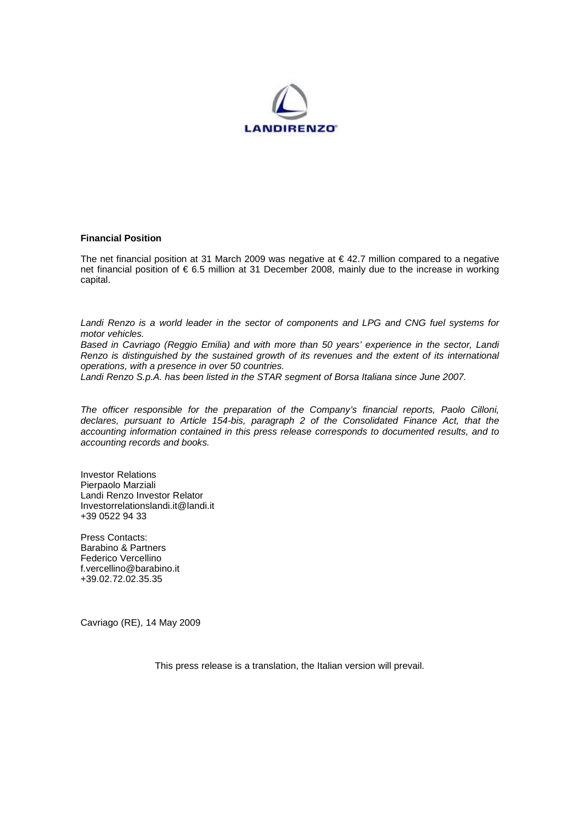

## **Financial Position**

The net financial position at 31 March 2009 was negative at  $\epsilon$  42.7 million compared to a negative net financial position of € 6.5 million at 31 December 2008, mainly due to the increase in working capital.

Landi Renzo is a world leader in the sector of components and LPG and CNG fuel systems for motor vehicles.

Based in Cavriago (Reggio Emilia) and with more than 50 years' experience in the sector, Landi Renzo is distinguished by the sustained growth of its revenues and the extent of its international operations, with a presence in over 50 countries.

Landi Renzo S.p.A. has been listed in the STAR segment of Borsa Italiana since June 2007.

The officer responsible for the preparation of the Company's financial reports, Paolo Cilloni, declares, pursuant to Article 154-bis, paragraph 2 of the Consolidated Finance Act, that the accounting information contained in this press release corresponds to documented results, and to accounting records and books.

Investor Relations Pierpaolo Marziali Landi Renzo Investor Relator Investorrelationslandi.it@landi.it +39 0522 94 33

Press Contacts: Barabino & Partners Federico Vercellino f.vercellino@barabino.it +39.02.72.02.35.35

Cavriago (RE), 14 May 2009

This press release is a translation, the Italian version will prevail.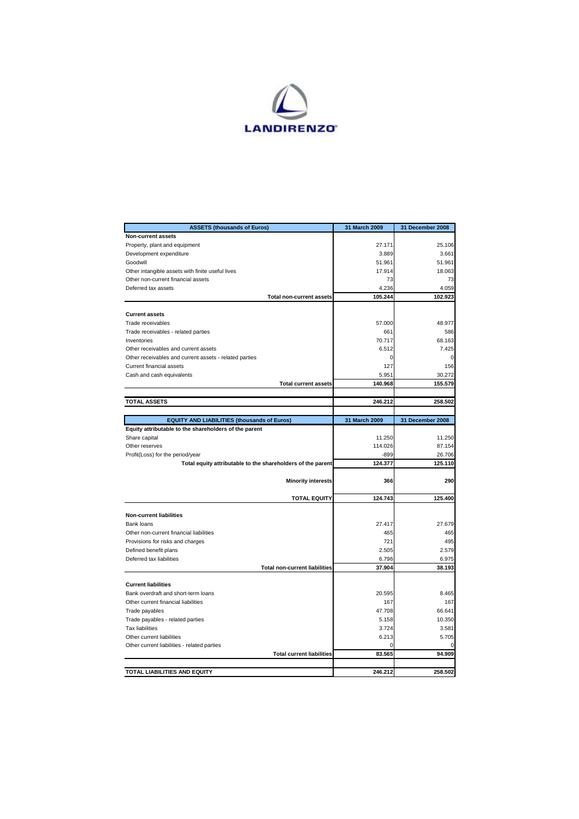

| <b>ASSETS (thousands of Euros)</b>                                     | 31 March 2009 | 31 December 2008  |
|------------------------------------------------------------------------|---------------|-------------------|
| Non-current assets                                                     |               |                   |
| Property, plant and equipment                                          | 27.171        | 25.106            |
| Development expenditure                                                | 3.889         | 3.661             |
| Goodwill                                                               | 51.961        | 51.961            |
| Other intangible assets with finite useful lives                       | 17.914        | 18.063            |
| Other non-current financial assets                                     | 73            | 73                |
| Deferred tax assets                                                    | 4.236         | 4.059             |
| <b>Total non-current assets</b>                                        | 105.244       | 102.923           |
|                                                                        |               |                   |
| <b>Current assets</b>                                                  |               |                   |
| Trade receivables                                                      | 57.000        | 48.977            |
| Trade receivables - related parties                                    | 661           | 586               |
| Inventories                                                            | 70.717        | 68.163            |
| Other receivables and current assets                                   | 6.512         | 7.425             |
| Other receivables and current assets - related parties                 | 0             | $\Omega$          |
| Current financial assets                                               | 127           | 156               |
| Cash and cash equivalents                                              | 5.951         | 30.272            |
| <b>Total current assets</b>                                            | 140.968       | 155.579           |
|                                                                        |               |                   |
| <b>TOTAL ASSETS</b>                                                    | 246.212       | 258.502           |
|                                                                        |               |                   |
| <b>EQUITY AND LIABILITIES (thousands of Euros)</b>                     | 31 March 2009 | 31 December 2008  |
| Equity attributable to the shareholders of the parent<br>Share capital | 11.250        | 11.250            |
| Other reserves                                                         | 114.026       | 87.154            |
|                                                                        | $-899$        |                   |
| Profit(Loss) for the period/year                                       | 124.377       | 26.706<br>125.110 |
| Total equity attributable to the shareholders of the parent            |               |                   |
| <b>Minority interests</b>                                              | 366           | 290               |
|                                                                        |               |                   |
| <b>TOTAL EQUITY</b>                                                    | 124.743       | 125.400           |
|                                                                        |               |                   |
| <b>Non-current liabilities</b>                                         |               |                   |
| Bank loans                                                             | 27.417        | 27.679            |
| Other non-current financial liabilities                                | 465           | 465               |
| Provisions for risks and charges                                       | 721           | 495               |
| Defined benefit plans                                                  | 2.505         | 2.579             |
| Deferred tax liabilities                                               | 6.796         | 6.975             |
| <b>Total non-current liabilities</b>                                   | 37.904        | 38.193            |
|                                                                        |               |                   |
| <b>Current liabilities</b>                                             |               |                   |
| Bank overdraft and short-term loans                                    | 20.595        | 8.465             |
| Other current financial liabilities                                    | 167           | 167               |
| Trade payables                                                         | 47.708        | 66.641            |
| Trade payables - related parties                                       | 5.158         | 10.350            |
| <b>Tax liabilities</b>                                                 | 3.724         | 3.581             |
| Other current liabilities                                              | 6.213         | 5.705             |
| Other current liabilities - related parties                            | O             | $\Omega$          |
| <b>Total current liabilities</b>                                       | 83.565        | 94.909            |
|                                                                        |               |                   |
| TOTAL LIABILITIES AND EQUITY                                           | 246.212       | 258.502           |